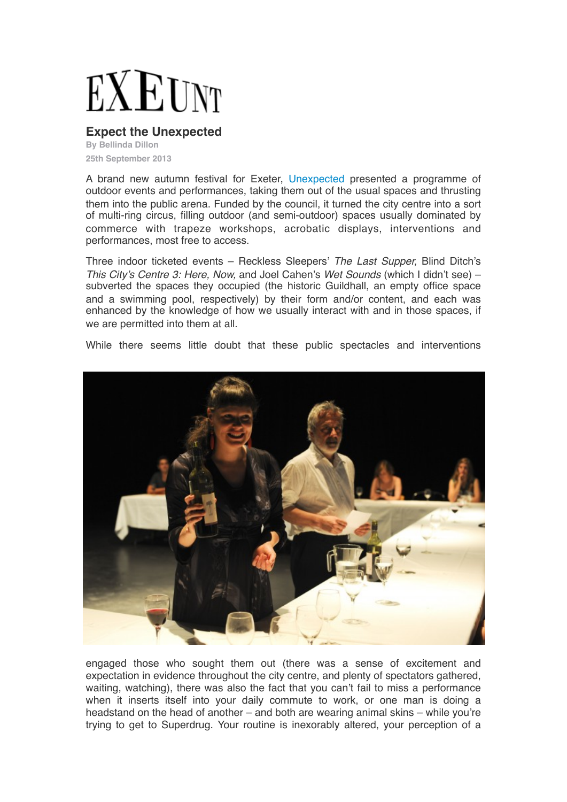## EXEUNT

## **Expect the Unexpected**

**By Bellinda Dillon 25th September 2013**

A brand new autumn festival for Exeter[, Unexpected](http://www.exeter.gov.uk/unexpected/) presented a programme of outdoor events and performances, taking them out of the usual spaces and thrusting them into the public arena. Funded by the council, it turned the city centre into a sort of multi-ring circus, filling outdoor (and semi-outdoor) spaces usually dominated by commerce with trapeze workshops, acrobatic displays, interventions and performances, most free to access.

Three indoor ticketed events – Reckless Sleepers' *The Last Supper,* Blind Ditch's *This City's Centre 3: Here, Now,* and Joel Cahen's *Wet Sounds* (which I didn't see) – subverted the spaces they occupied (the historic Guildhall, an empty office space and a swimming pool, respectively) by their form and/or content, and each was enhanced by the knowledge of how we usually interact with and in those spaces, if we are permitted into them at all.

While there seems little doubt that these public spectacles and interventions



engaged those who sought them out (there was a sense of excitement and expectation in evidence throughout the city centre, and plenty of spectators gathered, waiting, watching), there was also the fact that you can't fail to miss a performance when it inserts itself into your daily commute to work, or one man is doing a headstand on the head of another – and both are wearing animal skins – while you're trying to get to Superdrug. Your routine is inexorably altered, your perception of a